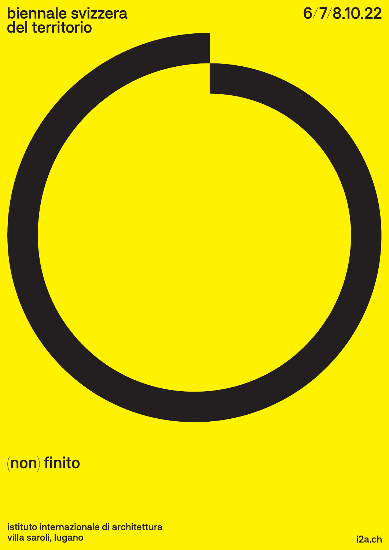## biennale svizzera<br>del territorio



## (non) finito

istituto internazionale di architettura villa saroli, lugano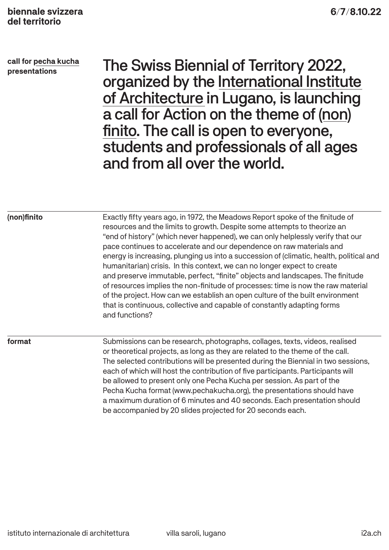**call for pecha kucha presentations**

The Swiss Biennial of Territory 2022, organized by the International Institute of Architecture in Lugano, is launching a call for Action on the theme of (non) finito. The call is open to everyone, students and professionals of all ages and from all over the world.

| (non)finito | Exactly fifty years ago, in 1972, the Meadows Report spoke of the finitude of<br>resources and the limits to growth. Despite some attempts to theorize an<br>"end of history" (which never happened), we can only helplessly verify that our<br>pace continues to accelerate and our dependence on raw materials and<br>energy is increasing, plunging us into a succession of (climatic, health, political and<br>humanitarian) crisis. In this context, we can no longer expect to create<br>and preserve immutable, perfect, "finite" objects and landscapes. The finitude<br>of resources implies the non-finitude of processes: time is now the raw material<br>of the project. How can we establish an open culture of the built environment<br>that is continuous, collective and capable of constantly adapting forms<br>and functions? |  |  |  |
|-------------|-------------------------------------------------------------------------------------------------------------------------------------------------------------------------------------------------------------------------------------------------------------------------------------------------------------------------------------------------------------------------------------------------------------------------------------------------------------------------------------------------------------------------------------------------------------------------------------------------------------------------------------------------------------------------------------------------------------------------------------------------------------------------------------------------------------------------------------------------|--|--|--|
| format      | Submissions can be research, photographs, collages, texts, videos, realised<br>or theoretical projects, as long as they are related to the theme of the call.<br>The selected contributions will be presented during the Biennial in two sessions,<br>each of which will host the contribution of five participants. Participants will<br>be allowed to present only one Pecha Kucha per session. As part of the<br>Pecha Kucha format (www.pechakucha.org), the presentations should have<br>a maximum duration of 6 minutes and 40 seconds. Each presentation should                                                                                                                                                                                                                                                                          |  |  |  |

be accompanied by 20 slides projected for 20 seconds each.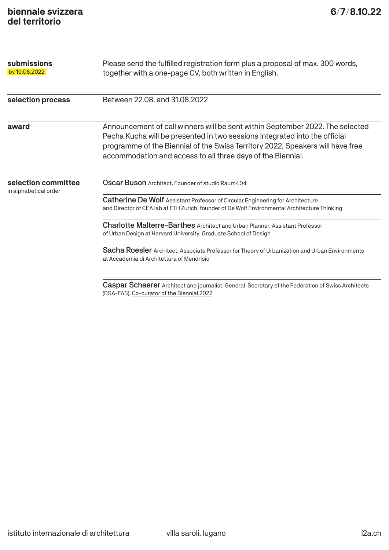| submissions                                  | Please send the fulfilled registration form plus a proposal of max. 300 words,<br>together with a one-page CV, both written in English.                                                                                                                                                                      |  |  |  |  |  |
|----------------------------------------------|--------------------------------------------------------------------------------------------------------------------------------------------------------------------------------------------------------------------------------------------------------------------------------------------------------------|--|--|--|--|--|
| by 19.08.2022                                |                                                                                                                                                                                                                                                                                                              |  |  |  |  |  |
| selection process                            | Between 22.08, and 31.08.2022                                                                                                                                                                                                                                                                                |  |  |  |  |  |
| award                                        | Announcement of call winners will be sent within September 2022. The selected<br>Pecha Kucha will be presented in two sessions integrated into the official<br>programme of the Biennial of the Swiss Territory 2022. Speakers will have free<br>accommodation and access to all three days of the Biennial. |  |  |  |  |  |
| selection committee<br>in alphabetical order | Oscar Buson Architect, Founder of studio Raum404                                                                                                                                                                                                                                                             |  |  |  |  |  |
|                                              | Catherine De Wolf Assistant Professor of Circular Engineering for Architecture<br>and Director of CEA lab at ETH Zurich, founder of De Wolf Environmental Architecture Thinking                                                                                                                              |  |  |  |  |  |
|                                              | Charlotte Malterre-Barthes Architect and Urban Planner, Assistant Professor<br>of Urban Design at Harvard University, Graduate School of Design                                                                                                                                                              |  |  |  |  |  |
|                                              | Sacha Roesler Architect, Associate Professor for Theory of Urbanization and Urban Environments<br>at Accademia di Architettura of Mendrisio                                                                                                                                                                  |  |  |  |  |  |
|                                              | <b>Caspar Schaerer</b> Architect and journalist, General Secretary of the Federation of Swiss Architects                                                                                                                                                                                                     |  |  |  |  |  |

(BSA-FAS), Co-curator of the Biennial 2022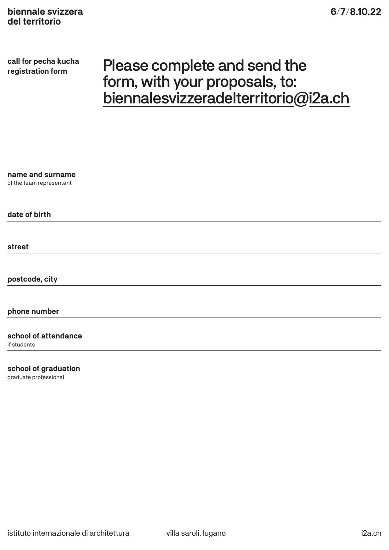**call for pecha kucha**

## **call for pecha kucha** Please complete and send the form, with your proposals, to: biennalesvizzeradelterritorio@i2a.ch

| name and surname                    |  |  |  |
|-------------------------------------|--|--|--|
| of the team representant            |  |  |  |
|                                     |  |  |  |
| date of birth                       |  |  |  |
|                                     |  |  |  |
| street                              |  |  |  |
|                                     |  |  |  |
| postcode, city                      |  |  |  |
| phone number                        |  |  |  |
| school of attendance<br>if students |  |  |  |
| school of graduation                |  |  |  |

graduate professional